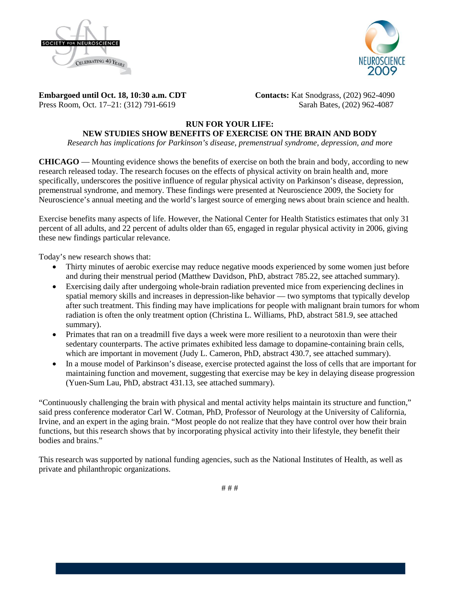



**Embargoed until Oct. 18, 10:30 a.m. CDT Contacts:** Kat Snodgrass, (202) 962-4090 Press Room, Oct. 17–21: (312) 791-6619Sarah Bates, (202) 962-4087

# **RUN FOR YOUR LIFE:**

# **NEW STUDIES SHOW BENEFITS OF EXERCISE ON THE BRAIN AND BODY**

*Research has implications for Parkinson's disease, premenstrual syndrome, depression, and more*

**CHICAGO** — Mounting evidence shows the benefits of exercise on both the brain and body, according to new research released today. The research focuses on the effects of physical activity on brain health and, more specifically, underscores the positive influence of regular physical activity on Parkinson's disease, depression, premenstrual syndrome, and memory. These findings were presented at Neuroscience 2009, the Society for Neuroscience's annual meeting and the world's largest source of emerging news about brain science and health.

Exercise benefits many aspects of life. However, the National Center for Health Statistics estimates that only 31 percent of all adults, and 22 percent of adults older than 65, engaged in regular physical activity in 2006, giving these new findings particular relevance.

Today's new research shows that:

- Thirty minutes of aerobic exercise may reduce negative moods experienced by some women just before and during their menstrual period (Matthew Davidson, PhD, abstract 785.22, see attached summary).
- Exercising daily after undergoing whole-brain radiation prevented mice from experiencing declines in spatial memory skills and increases in depression-like behavior — two symptoms that typically develop after such treatment. This finding may have implications for people with malignant brain tumors for whom radiation is often the only treatment option (Christina L. Williams, PhD, abstract 581.9, see attached summary).
- Primates that ran on a treadmill five days a week were more resilient to a neurotoxin than were their sedentary counterparts. The active primates exhibited less damage to dopamine-containing brain cells, which are important in movement (Judy L. Cameron, PhD, abstract 430.7, see attached summary).
- In a mouse model of Parkinson's disease, exercise protected against the loss of cells that are important for maintaining function and movement, suggesting that exercise may be key in delaying disease progression (Yuen-Sum Lau, PhD, abstract 431.13, see attached summary).

"Continuously challenging the brain with physical and mental activity helps maintain its structure and function," said press conference moderator Carl W. Cotman, PhD, Professor of Neurology at the University of California, Irvine, and an expert in the aging brain. "Most people do not realize that they have control over how their brain functions, but this research shows that by incorporating physical activity into their lifestyle, they benefit their bodies and brains."

This research was supported by national funding agencies, such as the National Institutes of Health, as well as private and philanthropic organizations.

# # #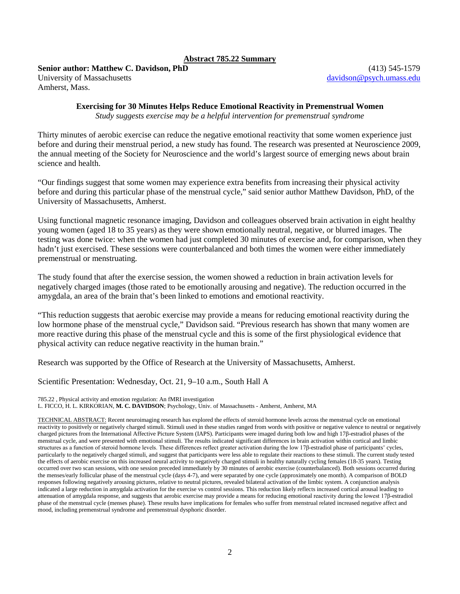## **Abstract 785.22 Summary**

**Senior author: Matthew C. Davidson, PhD** (413) 545-1579

University of Massachusetts davidson @psych.umass.edu Amherst, Mass.

# **Exercising for 30 Minutes Helps Reduce Emotional Reactivity in Premenstrual Women**

*Study suggests exercise may be a helpful intervention for premenstrual syndrome*

Thirty minutes of aerobic exercise can reduce the negative emotional reactivity that some women experience just before and during their menstrual period, a new study has found. The research was presented at Neuroscience 2009, the annual meeting of the Society for Neuroscience and the world's largest source of emerging news about brain science and health.

"Our findings suggest that some women may experience extra benefits from increasing their physical activity before and during this particular phase of the menstrual cycle," said senior author Matthew Davidson, PhD, of the University of Massachusetts, Amherst.

Using functional magnetic resonance imaging, Davidson and colleagues observed brain activation in eight healthy young women (aged 18 to 35 years) as they were shown emotionally neutral, negative, or blurred images. The testing was done twice: when the women had just completed 30 minutes of exercise and, for comparison, when they hadn't just exercised. These sessions were counterbalanced and both times the women were either immediately premenstrual or menstruating.

The study found that after the exercise session, the women showed a reduction in brain activation levels for negatively charged images (those rated to be emotionally arousing and negative). The reduction occurred in the amygdala, an area of the brain that's been linked to emotions and emotional reactivity.

"This reduction suggests that aerobic exercise may provide a means for reducing emotional reactivity during the low hormone phase of the menstrual cycle," Davidson said. "Previous research has shown that many women are more reactive during this phase of the menstrual cycle and this is some of the first physiological evidence that physical activity can reduce negative reactivity in the human brain."

Research was supported by the Office of Research at the University of Massachusetts, Amherst.

Scientific Presentation: Wednesday, Oct. 21, 9–10 a.m., South Hall A

785.22 , Physical activity and emotion regulation: An fMRI investigation

L. FICCO, H. L. KIRKORIAN, **M. C. DAVIDSON**; Psychology, Univ. of Massachusetts - Amherst, Amherst, MA

TECHNICAL ABSTRACT: Recent neuroimaging research has explored the effects of steroid hormone levels across the menstrual cycle on emotional reactivity to positively or negatively charged stimuli. Stimuli used in these studies ranged from words with positive or negative valence to neutral or negatively charged pictures from the International Affective Picture System (IAPS). Participants were imaged during both low and high 17β-estradiol phases of the menstrual cycle, and were presented with emotional stimuli. The results indicated significant differences in brain activation within cortical and limbic structures as a function of steroid hormone levels. These differences reflect greater activation during the low 17β-estradiol phase of participants' cycles, particularly to the negatively charged stimuli, and suggest that participants were less able to regulate their reactions to these stimuli. The current study tested the effects of aerobic exercise on this increased neural activity to negatively charged stimuli in healthy naturally cycling females (18-35 years). Testing occurred over two scan sessions, with one session preceded immediately by 30 minutes of aerobic exercise (counterbalanced). Both sessions occurred during the menses/early follicular phase of the menstrual cycle (days 4-7), and were separated by one cycle (approximately one month). A comparison of BOLD responses following negatively arousing pictures, relative to neutral pictures, revealed bilateral activation of the limbic system. A conjunction analysis indicated a large reduction in amygdala activation for the exercise vs control sessions. This reduction likely reflects increased cortical arousal leading to attenuation of amygdala response, and suggests that aerobic exercise may provide a means for reducing emotional reactivity during the lowest 17β-estradiol phase of the menstrual cycle (menses phase). These results have implications for females who suffer from menstrual related increased negative affect and mood, including premenstrual syndrome and premenstrual dysphoric disorder.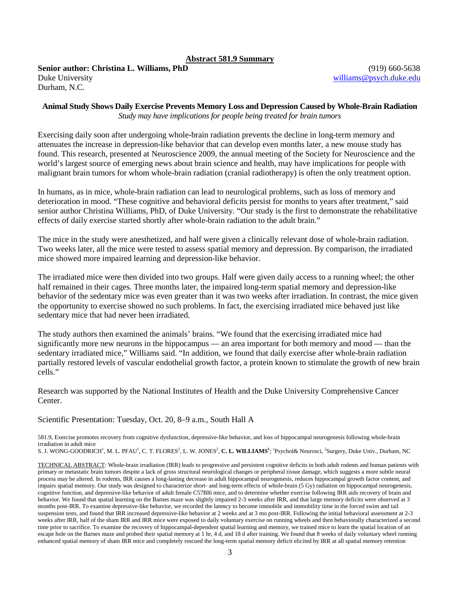## **Abstract 581.9 Summary**

**Senior author: Christina L. Williams, PhD** (919) 660-5638 Duke University [williams@psych.duke.edu](mailto:williams@psych.duke.edu) Durham, N.C.

#### **Animal Study Shows Daily Exercise Prevents Memory Loss and Depression Caused by Whole-Brain Radiation** *Study may have implications for people being treated for brain tumors*

Exercising daily soon after undergoing whole-brain radiation prevents the decline in long-term memory and attenuates the increase in depression-like behavior that can develop even months later, a new mouse study has found. This research, presented at Neuroscience 2009, the annual meeting of the Society for Neuroscience and the world's largest source of emerging news about brain science and health, may have implications for people with malignant brain tumors for whom whole-brain radiation (cranial radiotherapy) is often the only treatment option.

In humans, as in mice, whole-brain radiation can lead to neurological problems, such as loss of memory and deterioration in mood. "These cognitive and behavioral deficits persist for months to years after treatment," said senior author Christina Williams, PhD, of Duke University. "Our study is the first to demonstrate the rehabilitative effects of daily exercise started shortly after whole-brain radiation to the adult brain."

The mice in the study were anesthetized, and half were given a clinically relevant dose of whole-brain radiation. Two weeks later, all the mice were tested to assess spatial memory and depression. By comparison, the irradiated mice showed more impaired learning and depression-like behavior.

The irradiated mice were then divided into two groups. Half were given daily access to a running wheel; the other half remained in their cages. Three months later, the impaired long-term spatial memory and depression-like behavior of the sedentary mice was even greater than it was two weeks after irradiation. In contrast, the mice given the opportunity to exercise showed no such problems. In fact, the exercising irradiated mice behaved just like sedentary mice that had never been irradiated.

The study authors then examined the animals' brains. "We found that the exercising irradiated mice had significantly more new neurons in the hippocampus — an area important for both memory and mood — than the sedentary irradiated mice," Williams said. "In addition, we found that daily exercise after whole-brain radiation partially restored levels of vascular endothelial growth factor, a protein known to stimulate the growth of new brain cells."

Research was supported by the National Institutes of Health and the Duke University Comprehensive Cancer Center.

Scientific Presentation: Tuesday, Oct. 20, 8–9 a.m., South Hall A

581.9, Exercise promotes recovery from cognitive dysfunction, depressive-like behavior, and loss of hippocampal neurogenesis following whole-brain irradiation in adult mice

S. J. WONG-GOODRICH<sup>1</sup>, M. L. PFAU<sup>1</sup>, C. T. FLORES<sup>2</sup>, L. W. JONES<sup>2</sup>, **C. L. WILLIAMS<sup>1</sup>; <sup>1</sup>Psychol& Neurosci, <sup>2</sup>Surgery, Duke Univ., Durham, NC** 

TECHNICAL ABSTRACT: Whole-brain irradiation (IRR) leads to progressive and persistent cognitive deficits in both adult rodents and human patients with primary or metastatic brain tumors despite a lack of gross structural neurological changes or peripheral tissue damage, which suggests a more subtle neural process may be altered. In rodents, IRR causes a long-lasting decrease in adult hippocampal neurogenesis, reduces hippocampal growth factor content, and impairs spatial memory. Our study was designed to characterize short- and long-term effects of whole-brain (5 Gy) radiation on hippocampal neurogenesis, cognitive function, and depressive-like behavior of adult female C57Bl6 mice, and to determine whether exercise following IRR aids recovery of brain and behavior. We found that spatial learning on the Barnes maze was slightly impaired 2-3 weeks after IRR, and that large memory deficits were observed at 3 months post-IRR. To examine depressive-like behavior, we recorded the latency to become immobile and immobility time in the forced swim and tail suspension tests, and found that IRR increased depressive-like behavior at 2 weeks and at 3 mo post-IRR. Following the initial behavioral assessment at 2-3 weeks after IRR, half of the sham IRR and IRR mice were exposed to daily voluntary exercise on running wheels and then behaviorally characterized a second time prior to sacrifice. To examine the recovery of hippocampal-dependent spatial learning and memory, we trained mice to learn the spatial location of an escape hole on the Barnes maze and probed their spatial memory at 1 hr, 4 d, and 18 d after training. We found that 8 weeks of daily voluntary wheel running enhanced spatial memory of sham IRR mice and completely rescued the long-term spatial memory deficit elicited by IRR at all spatial memory retention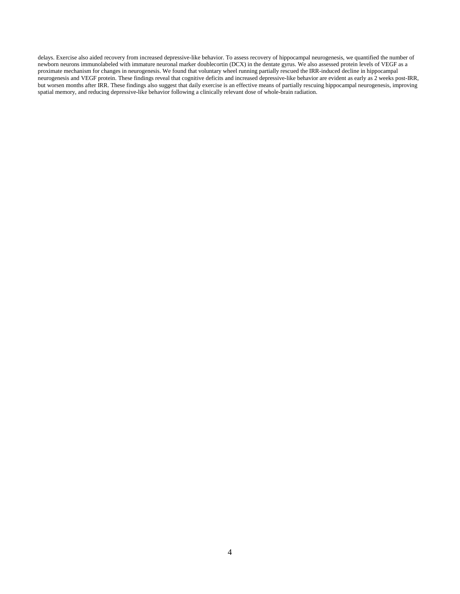delays. Exercise also aided recovery from increased depressive-like behavior. To assess recovery of hippocampal neurogenesis, we quantified the number of newborn neurons immunolabeled with immature neuronal marker doublecortin (DCX) in the dentate gyrus. We also assessed protein levels of VEGF as a proximate mechanism for changes in neurogenesis. We found that voluntary wheel running partially rescued the IRR-induced decline in hippocampal neurogenesis and VEGF protein. These findings reveal that cognitive deficits and increased depressive-like behavior are evident as early as 2 weeks post-IRR, but worsen months after IRR. These findings also suggest that daily exercise is an effective means of partially rescuing hippocampal neurogenesis, improving spatial memory, and reducing depressive-like behavior following a clinically relevant dose of whole-brain radiation.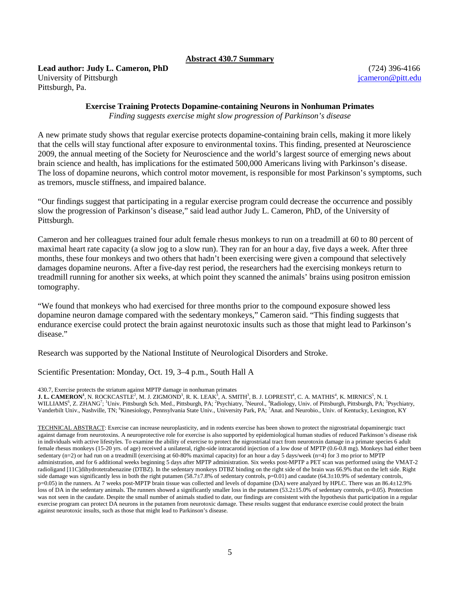#### **Abstract 430.7 Summary**

**Lead author: Judy L. Cameron, PhD** (724) 396-4166 University of Pittsburgh is a state of Pittsburgh in the state of Pittsburgh in the state of Pittsburgh in the state of  $q$  is a state of  $q$  is a state of  $q$  is a state of  $q$  is a state of  $q$  is a state of  $q$  is a sta Pittsburgh, Pa.

## **Exercise Training Protects Dopamine-containing Neurons in Nonhuman Primates**

*Finding suggests exercise might slow progression of Parkinson's disease*

A new primate study shows that regular exercise protects dopamine-containing brain cells, making it more likely that the cells will stay functional after exposure to environmental toxins. This finding, presented at Neuroscience 2009, the annual meeting of the Society for Neuroscience and the world's largest source of emerging news about brain science and health, has implications for the estimated 500,000 Americans living with Parkinson's disease. The loss of dopamine neurons, which control motor movement, is responsible for most Parkinson's symptoms, such as tremors, muscle stiffness, and impaired balance.

"Our findings suggest that participating in a regular exercise program could decrease the occurrence and possibly slow the progression of Parkinson's disease," said lead author Judy L. Cameron, PhD, of the University of Pittsburgh.

Cameron and her colleagues trained four adult female rhesus monkeys to run on a treadmill at 60 to 80 percent of maximal heart rate capacity (a slow jog to a slow run). They ran for an hour a day, five days a week. After three months, these four monkeys and two others that hadn't been exercising were given a compound that selectively damages dopamine neurons. After a five-day rest period, the researchers had the exercising monkeys return to treadmill running for another six weeks, at which point they scanned the animals' brains using positron emission tomography.

"We found that monkeys who had exercised for three months prior to the compound exposure showed less dopamine neuron damage compared with the sedentary monkeys," Cameron said. "This finding suggests that endurance exercise could protect the brain against neurotoxic insults such as those that might lead to Parkinson's disease."

Research was supported by the National Institute of Neurological Disorders and Stroke.

Scientific Presentation: Monday, Oct. 19, 3–4 p.m., South Hall A

430.7, Exercise protects the striatum against MPTP damage in nonhuman primates

 ${\bf J. L. CAMERON}^1,$  N. ROCKCASTLE $^2,$  M. J. ZIGMOND $^3,$  R. K. LEAK $^3,$  A. SMITH $^3,$  B. J. LOPRESTI $^4,$  C. A. MATHIS $^4,$  K. MIRNICS $^5,$  N. I. WILLIAMS<sup>6</sup>, Z. ZHANG<sup>7</sup>; <sup>1</sup>Univ. Pittsburgh Sch. Med., Pittsburgh, PA; <sup>2</sup>Psychiatry, <sup>3</sup>Neurol., <sup>4</sup>Radiology, Univ. of Pittsburgh, Pittsburgh, PA; <sup>5</sup>Psychiatry,<br>Vanderbilt Univ., Nashville, TN; <sup>6</sup>Kinesiology, Pennsyl

TECHNICAL ABSTRACT: Exercise can increase neuroplasticity, and in rodents exercise has been shown to protect the nigrostriatal dopaminergic tract against damage from neurotoxins. A neuroprotective role for exercise is also supported by epidemiological human studies of reduced Parkinson's disease risk in individuals with active lifestyles. To examine the ability of exercise to protect the nigrostriatal tract from neurotoxin damage in a primate species 6 adult female rhesus monkeys (15-20 yrs. of age) received a unilateral, right-side intracarotid injection of a low dose of MPTP (0.6-0.8 mg). Monkeys had either been sedentary (n=2) or had run on a treadmill (exercising at 60-80% maximal capacity) for an hour a day 5 days/week (n=4) for 3 mo prior to MPTP administration, and for 6 additional weeks beginning 5 days after MPTP administration. Six weeks post-MPTP a PET scan was performed using the VMAT-2 radioligand [11C]dihydrotetrabenazine (DTBZ). In the sedentary monkeys DTBZ binding on the right side of the brain was 66.9% that on the left side. Right side damage was significantly less in both the right putamen (58.7±7.8% of sedentary controls, p=0.01) and caudate (64.3±10.9% of sedentary controls, p=0.05) in the runners. At 7 weeks post-MPTP brain tissue was collected and levels of dopamine (DA) were analyzed by HPLC. There was an 86.4±12.9% loss of DA in the sedentary animals. The runners showed a significantly smaller loss in the putamen (53.2±15.0% of sedentary controls, p=0.05). Protection was not seen in the caudate. Despite the small number of animals studied to date, our findings are consistent with the hypothesis that participation in a regular exercise program can protect DA neurons in the putamen from neurotoxic damage. These results suggest that endurance exercise could protect the brain against neurotoxic insults, such as those that might lead to Parkinson's disease.